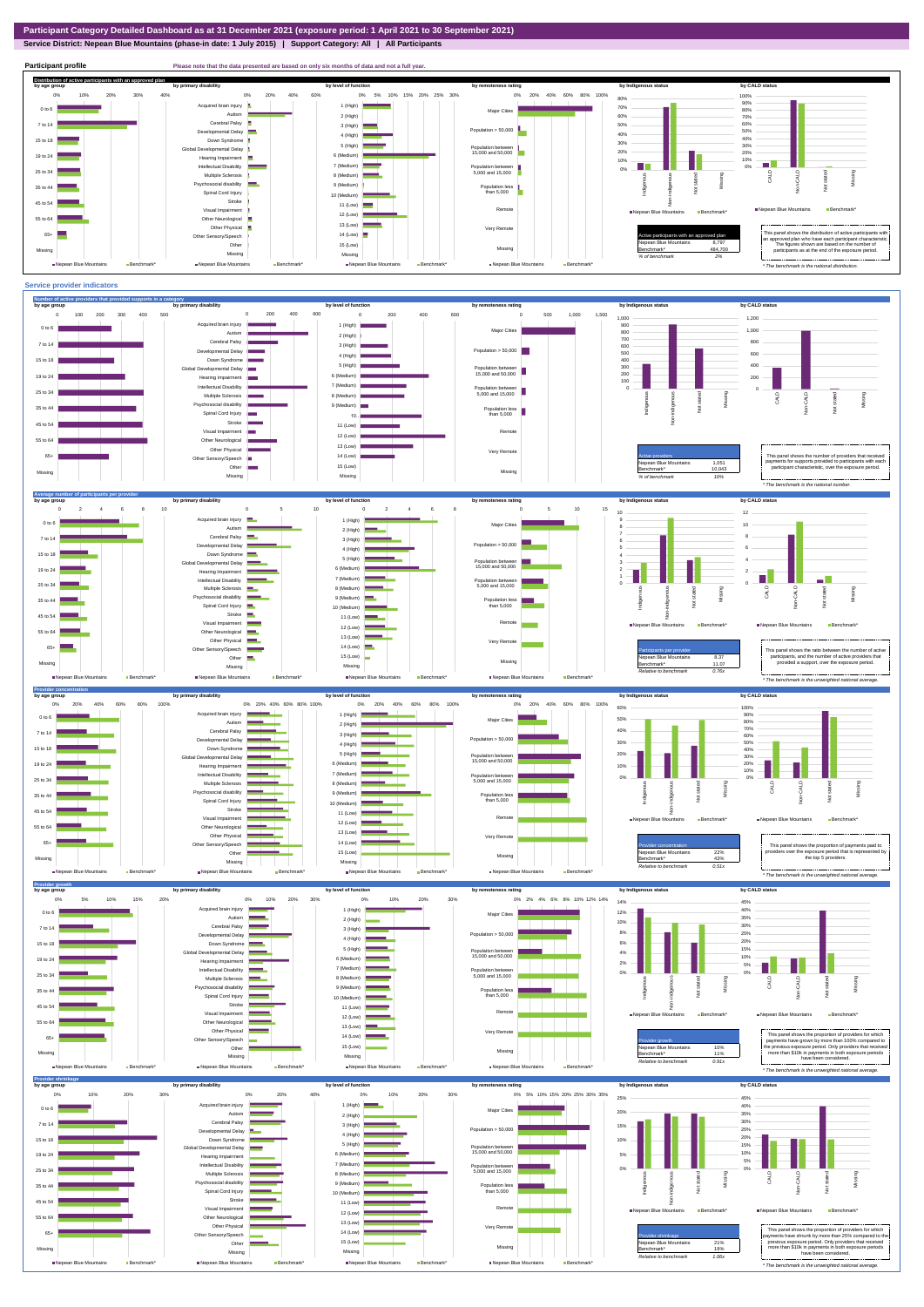**Service District: Nepean Blue Mountains (phase-in date: 1 July 2015) | Support Category: All | All Participants**



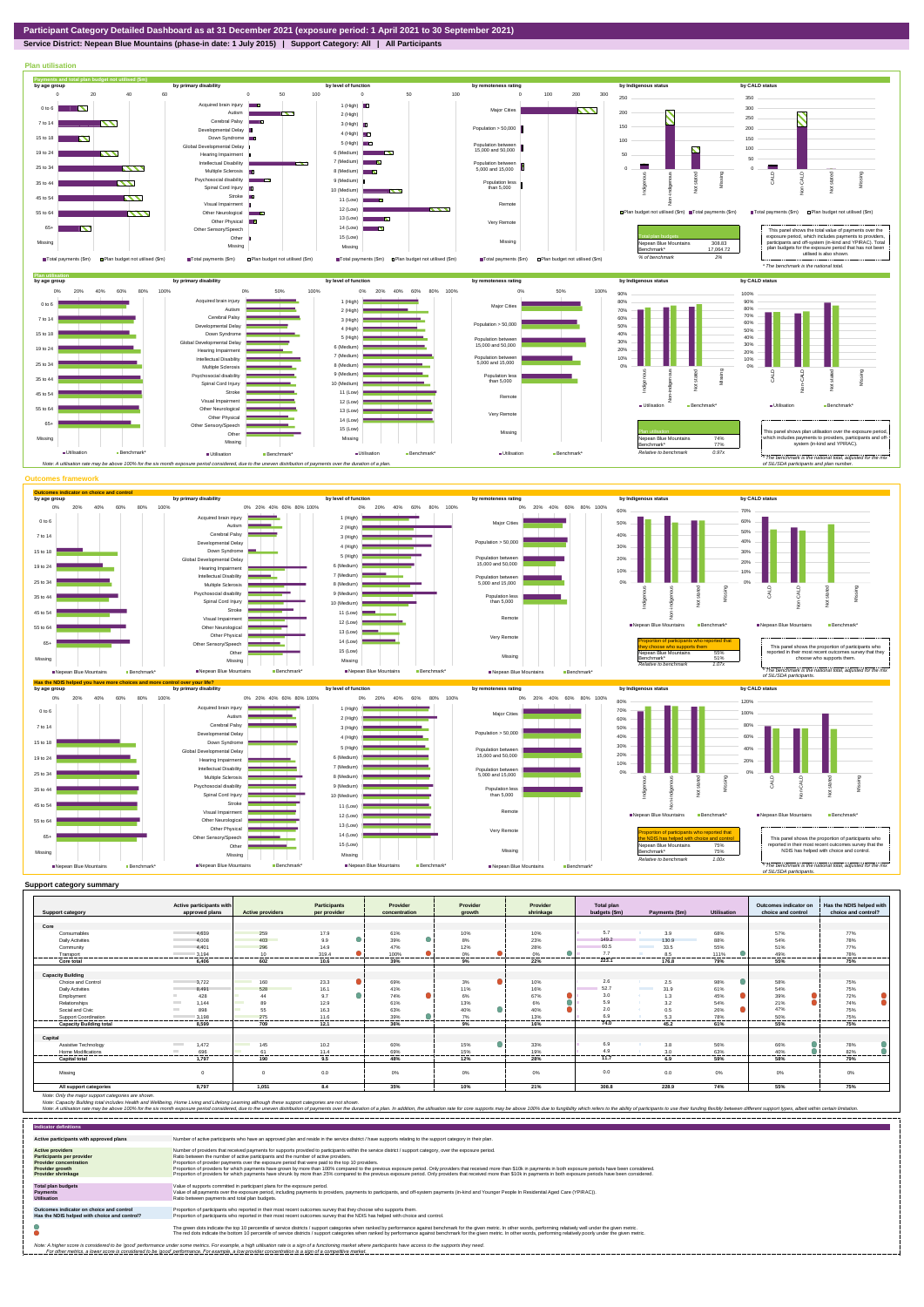**Service District: Nepean Blue Mountains (phase-in date: 1 July 2015) | Support Category: All | All Participants**



|                                | Active participants with         |                         | <b>Participants</b> | Provider      | Provider                                     | Provider     | Total plan    |                                  |                    | Outcomes indicator on | Has the NDIS helped with |
|--------------------------------|----------------------------------|-------------------------|---------------------|---------------|----------------------------------------------|--------------|---------------|----------------------------------|--------------------|-----------------------|--------------------------|
| <b>Support category</b>        | approved plans                   | <b>Active providers</b> | per provider        | concentration | growth                                       | shrinkage    | budgets (\$m) | Payments (\$m)                   | <b>Utilisation</b> | choice and control    | choice and control?      |
| Core                           |                                  |                         |                     |               |                                              |              |               |                                  |                    |                       |                          |
| Consumables                    | 4.639                            | 259                     | 17.9                | 61%           | 10%                                          | 10%          | 5.7           | 3.9                              | 68%                | 57%                   | 77%                      |
| <b>Daily Activities</b>        |                                  | 403                     |                     |               |                                              | 23%          | 149.2         | 130.9                            | 88%                |                       |                          |
|                                | 4.008                            |                         | 9.9                 | 39%           | 8%                                           |              | 60.5          | <b>Contract Contract</b>         |                    | 54%                   | 78%                      |
| Community                      | 4401                             | 296                     | 14.9                | 47%           | 12%                                          | 28%          | 7.7           | 33.5                             | 55%                | 51%                   | 77%                      |
| Transport                      | 3,194<br>----------------------- | 10<br>                  | 319.4<br>           | 100%<br>.     | 0%<br>---------------------<br>------------- | 0%<br>.<br>. | 223.1         | 8.5<br>.                         | 111%<br>--------   | 49%<br>.              | 78%<br>---------         |
| Core total                     | 6.406                            | 602                     | 10.6                | 39%           | 9%                                           | 22%          |               | 176.8                            | 79%                | 55%                   | 75%                      |
| <b>Capacity Building</b>       |                                  |                         |                     |               |                                              |              |               |                                  |                    |                       |                          |
| Choice and Control             | 3.722                            | 160                     | 23.3                | 69%           | 3%                                           | 10%          | 2.6           | 2.5                              | 98%                | 58%                   | 75%                      |
| <b>Daily Activities</b>        | 8.491                            | 528                     | 16.1                | 41%           | 11%                                          | 16%          | 52.7          | <b>Contract Contract</b><br>31.9 | 61%                | 54%                   | 75%                      |
| Employment                     | 428                              | 44                      | 9.7                 | 74%           | 6%                                           | 67%          | 3.0           | 1.3<br>-61                       | 45%                | 39%                   | 72%                      |
| Relationships                  | 1.144<br><b>Contract</b>         | 89                      | 12.9                | 61%           | 13%                                          | 6%           | 5.9           | 3.2                              | 54%                | 21%                   | 74%                      |
| Social and Civic               | 898<br><b>COLLEGE</b>            | 55                      | 16.3                | 63%           | 40%                                          | 40%          | 2.0           | 0.5                              | 26%                | 47%                   | 75%                      |
| <b>Support Coordination</b>    | 3.198                            | 275                     | 11.6                | 39%           | 7%                                           | 13%          | 6.9           | 5.3                              | 78%                | 50%                   | 75%                      |
| <b>Capacity Building total</b> | 8.599                            | 709                     | 12.1                | 36%           | 9%                                           | 16%          | 74.0          | 45.2                             | 61%                | 55%                   | 75%                      |
|                                |                                  |                         |                     |               |                                              |              |               |                                  |                    |                       |                          |
| Capital                        |                                  |                         |                     |               |                                              |              |               |                                  |                    |                       |                          |
| Assistive Technology           | 1.472<br><b>Contract</b>         | 145                     | 10.2                | 60%           | 15%                                          | 33%          | 6.9           | 3.8                              | 56%                | 66%                   | 78%                      |
| Home Modifications             | 696<br><b>COLLEGE</b><br>.       | 61                      | 11.4<br>-------     | 69%           | 15%                                          | 19%          | 4.9<br>.      | 3.0                              | 63%                | 40%<br>.              | 82%                      |
| <b>Capital total</b>           | 1.797                            | 190                     | 9.5                 | 48%           | 12%                                          | 28%          | 11.7          | 6.9                              | 59%                | 58%                   | 79%                      |
| Missing                        | $\Omega$                         |                         | 0.0                 | 0%            | 0%                                           | 0%           | 0.0           | 0.0                              | $0\%$              | 0%                    | 0%                       |
| All support categories         | 8,797                            | 1,051                   | 8.4                 | 35%           | 10%                                          | 21%          | 308.8         | 228.9                            | 74%                | 55%                   | 75%                      |

Note: Only the major support categories are shown.<br>Note: Capacity Building total individual Wellbeing, Home Living and Lifelong Learning although these support categories are not shown.<br>Note: A utilisation rate may be abov

| <b>Indicator definitions</b>                                                                                                                        |                                                                                                                                                                                                                                                                                                                                                                                                                                                                                                                                                                                                                                                                                                                                                                                                                 |
|-----------------------------------------------------------------------------------------------------------------------------------------------------|-----------------------------------------------------------------------------------------------------------------------------------------------------------------------------------------------------------------------------------------------------------------------------------------------------------------------------------------------------------------------------------------------------------------------------------------------------------------------------------------------------------------------------------------------------------------------------------------------------------------------------------------------------------------------------------------------------------------------------------------------------------------------------------------------------------------|
| Active participants with approved plans                                                                                                             | Number of active participants who have an approved plan and reside in the service district / have supports relating to the support category in their plan.                                                                                                                                                                                                                                                                                                                                                                                                                                                                                                                                                                                                                                                      |
| <b>Active providers</b><br><b>Participants per provider</b><br><b>Provider concentration</b><br><b>Provider growth</b><br><b>Provider shrinkage</b> | Number of providers that received payments for supports provided to participants within the service district / support category, over the exposure period,<br>Ratio between the number of active participants and the number of active providers.<br>Proportion of provider payments over the exposure period that were paid to the top 10 providers.<br>Proportion of providers for which payments have grown by more than 100% compared to the previous exposure period. Only providers that received more than \$10k in payments in both exposure periods have been considered.<br>Proportion of providers for which payments have shrunk by more than 25% compared to the previous exposure period. Only providers that received more than \$10k in payments in both exposure periods have been considered. |
| <b>Total plan budgets</b><br><b>Payments</b><br><b>Utilisation</b>                                                                                  | Value of supports committed in participant plans for the exposure period.<br>Value of all payments over the exposure period, including payments to providers, payments to participants, and off-system payments (in-kind and Younger People In Residential Aged Care (YPIRAC)).<br>Ratio between payments and total plan budgets.                                                                                                                                                                                                                                                                                                                                                                                                                                                                               |
| Outcomes indicator on choice and control<br>Has the NDIS helped with choice and control?                                                            | Proportion of participants who reported in their most recent outcomes survey that they choose who supports them.<br>Proportion of participants who reported in their most recent outcomes survey that the NDIS has helped with choice and control.                                                                                                                                                                                                                                                                                                                                                                                                                                                                                                                                                              |
|                                                                                                                                                     | The green dots indicate the top 10 percentile of service districts / support categories when ranked by performance against benchmark for the given metric. In other words, performing relatively well under the given metric.<br>The red dots indicate the bottom 10 percentile of service districts / support categories when ranked by performance against benchmark for the given metric. In other words, performing relatively poorly under the given metri                                                                                                                                                                                                                                                                                                                                                 |
|                                                                                                                                                     | Note: A higher score is considered to be 'good' performance under some metrics. For example, a high utilisation rate is a sign of a functioning market where participants have access to the supports they need.<br>For other metrics, a lower score is considered to be 'good' performance. For example, a low provider concentration is a sign of a competitive market.                                                                                                                                                                                                                                                                                                                                                                                                                                       |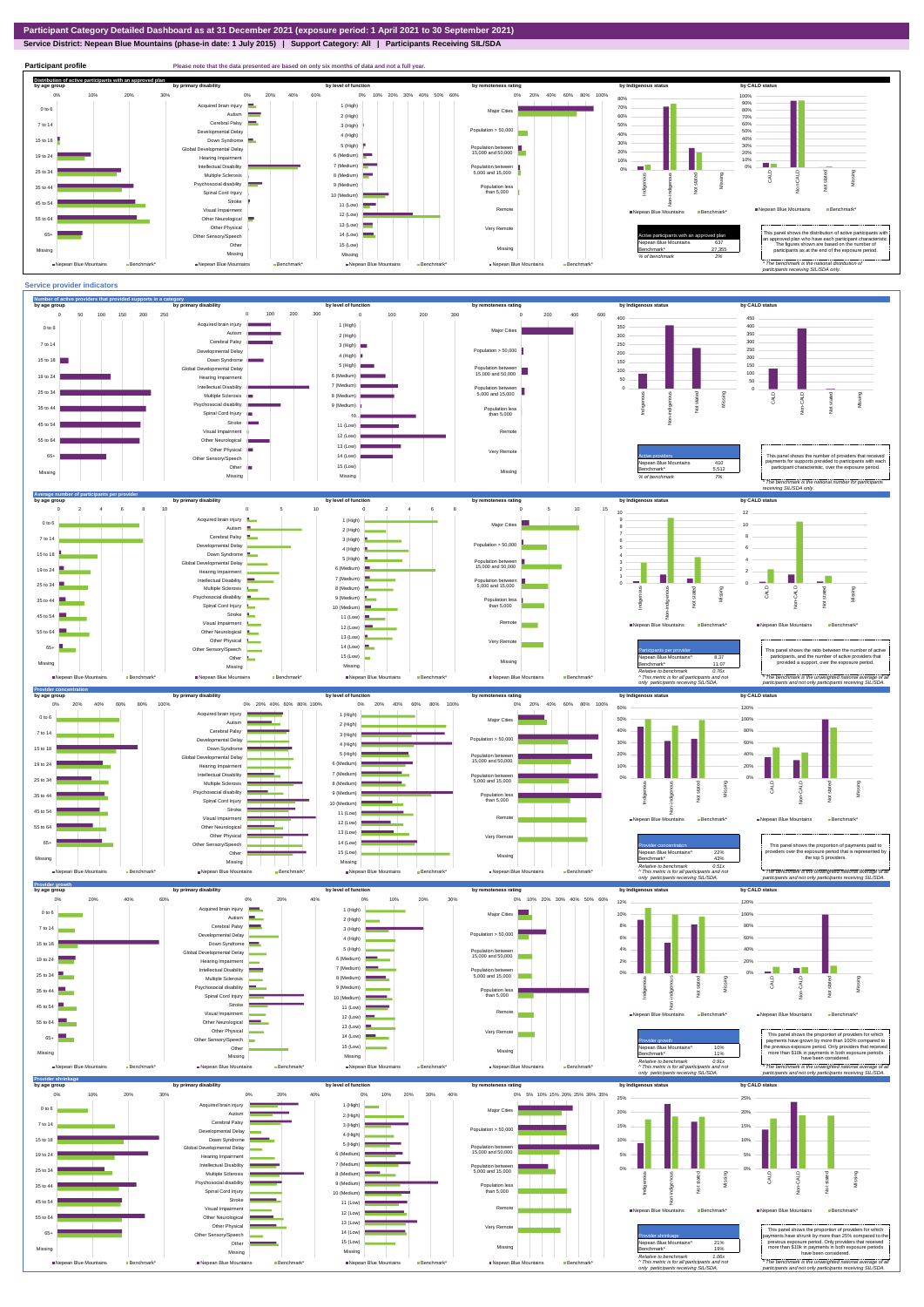**Service District: Nepean Blue Mountains (phase-in date: 1 July 2015) | Support Category: All | Participants Receiving SIL/SDA**



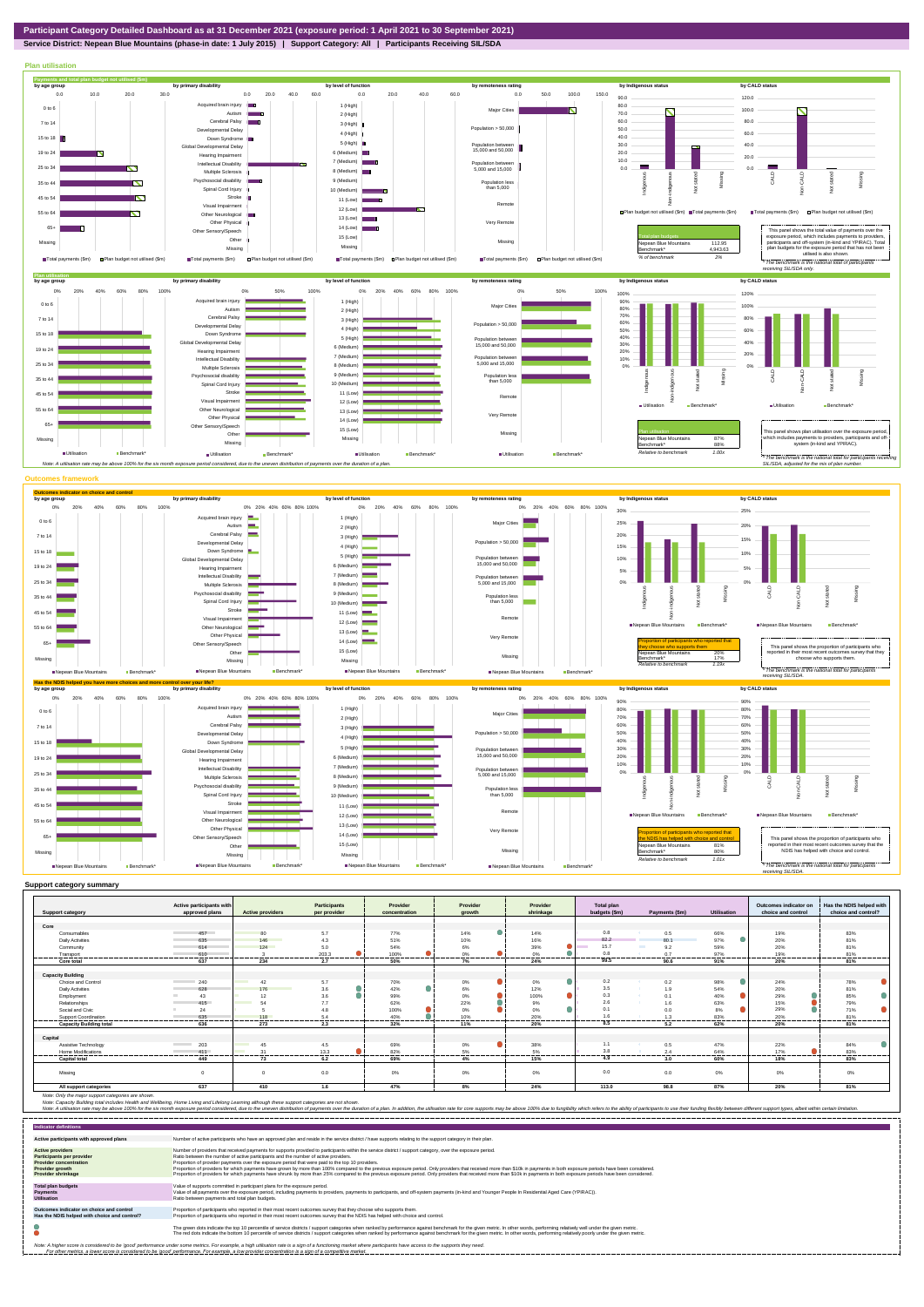**Service District: Nepean Blue Mountains (phase-in date: 1 July 2015) | Support Category: All | Participants Receiving SIL/SDA**



|                                | Active participants with        |                                | <b>Participants</b>    | Provider      | Provider               | Provider         | Total plan    |                                      |                    | Outcomes indicator on | Has the NDIS helped with |
|--------------------------------|---------------------------------|--------------------------------|------------------------|---------------|------------------------|------------------|---------------|--------------------------------------|--------------------|-----------------------|--------------------------|
| <b>Support category</b>        | approved plans                  | <b>Active providers</b>        | per provider           | concentration | growth                 | shrinkage        | budgets (\$m) | Payments (\$m)                       | <b>Utilisation</b> | choice and control    | choice and control?      |
| Core                           |                                 |                                |                        |               |                        |                  |               |                                      |                    |                       |                          |
| Consumables                    | 457                             | 80                             | 5.7                    | 77%           | 14%                    | 14%              | 0.8           | 0.5                                  | 66%                | 19%                   | 83%                      |
| <b>Daily Activities</b>        | 635                             | 146                            | 4.3                    | 51%           | 10%                    | 16%              | 82.2          | 80.1                                 | 97%                | 20%                   | 81%                      |
| Community                      | 614                             | 124                            | 5.0                    | 54%           | 6%                     | $\bullet$<br>39% | 15.7          | <b>The Contract of Street</b><br>9.2 | 59%                | 20%                   | 81%                      |
| Transport                      | 610                             |                                | 203.3                  | 100%          | 0%                     | 0 <sup>9</sup>   | 0.8           | 0.7                                  | 97%                | 19%                   | 81%                      |
| ----------<br>Core total       | ------------------<br>637       | <br>234                        | ----------<br>.<br>2.7 | .<br><br>50%  | ------------<br><br>7% | .<br><br>24%     | 99.5          | <br>90.6                             |                    | --------<br>20%       | --------<br>81%          |
|                                |                                 |                                |                        |               |                        |                  |               |                                      | 91%                |                       |                          |
| <b>Capacity Building</b>       |                                 |                                |                        |               |                        |                  |               |                                      |                    |                       |                          |
| Choice and Control             | 240                             | <b>Contract</b><br>42          | 5.7                    | 70%           | $0\%$                  | 0%               | 0.2           | 0.2                                  | 98%                | 24%                   | 78%                      |
| <b>Daily Activities</b>        | 628                             | 176                            | 3.6                    | 42%           | 6%                     | 12%              | 3.5           | 1.9                                  | 54%                | 20%                   | 81%                      |
| Employment                     | 43                              | 12                             | 3.6                    | 99%           | 0%                     | ۰<br>100%        | 0.3           | 0.1<br><b>SALE</b>                   | 40%                | 29%                   | 85%                      |
| Relationships                  | 415                             | 54                             | 7.7                    | 62%           | 22%                    | 9%               | 2.6           | 1.6                                  | 63%                | 15%                   | 79%                      |
| Social and Civic               | 24                              |                                | 4.8                    | 100%          | 0%                     | $\bullet$<br>0%  | 0.1           | 0.0                                  | 8%                 | 29%                   | 71%                      |
| Support Coordination           | 635                             | 118                            | 5.4                    | 40%           | 10%                    | 20%              |               | 1.3                                  | 83%                | 20%                   | 81%                      |
| <b>Capacity Building total</b> | 636                             | 273                            | ------<br>2.3          | 32%           | 11%                    | 20%              | 8.5           | 5.2                                  | 62%                | 20%                   | 81%                      |
|                                |                                 |                                |                        |               |                        |                  |               |                                      |                    |                       |                          |
| Capital                        |                                 |                                |                        |               |                        |                  |               |                                      |                    |                       |                          |
| Assistive Technology           | 203<br><b>Contract Contract</b> | 45<br><b>Contract Contract</b> | 4.5                    | 69%           | 0%                     | 38%              | 1.1           | 0.5                                  | 47%                | 22%                   | 84%                      |
| <b>Home Modifications</b>      | 411                             | $\sim$                         | 13.3                   | 82%           | 5%                     | 5%               | 3.8           | 2.4                                  | 64%                | 17%                   | 83%                      |
| <b>Capital total</b>           | 449                             | 73                             | 6.2                    | 69%           | 4%                     | 15%              | 4.9           | 3.0                                  | 60%                | 18%                   | 83%                      |
|                                |                                 |                                |                        |               |                        |                  |               |                                      |                    |                       |                          |
| Missing                        | $\Omega$                        | $\Omega$                       | 0.0                    | 0%            | 0%                     | 0%               | 0.0           | 0.0                                  | 0%                 | 0%                    | 0%                       |
|                                |                                 |                                |                        |               |                        |                  |               |                                      |                    |                       |                          |
| All support categories         | 637                             | 410                            | 1.6                    | 47%           | 8%                     | 24%              | 113.0         | 98.8                                 | 87%                | 20%                   | 81%                      |

Note: Only the major support categories are shown.<br>Note: Capacity Building total individual Wellbeing, Home Living and Lifelong Learning although these support categories are not shown.<br>Note: A utilisation rate may be abov

| <b>Indicator definitions</b>                                                                                                                        |                                                                                                                                                                                                                                                                                                                                                                                                                                                                                                                                                                                                                                                                                                                                                                                                                 |
|-----------------------------------------------------------------------------------------------------------------------------------------------------|-----------------------------------------------------------------------------------------------------------------------------------------------------------------------------------------------------------------------------------------------------------------------------------------------------------------------------------------------------------------------------------------------------------------------------------------------------------------------------------------------------------------------------------------------------------------------------------------------------------------------------------------------------------------------------------------------------------------------------------------------------------------------------------------------------------------|
| Active participants with approved plans                                                                                                             | Number of active participants who have an approved plan and reside in the service district / have supports relating to the support category in their plan.                                                                                                                                                                                                                                                                                                                                                                                                                                                                                                                                                                                                                                                      |
| <b>Active providers</b><br><b>Participants per provider</b><br><b>Provider concentration</b><br><b>Provider growth</b><br><b>Provider shrinkage</b> | Number of providers that received payments for supports provided to participants within the service district / support category, over the exposure period.<br>Ratio between the number of active participants and the number of active providers.<br>Proportion of provider payments over the exposure period that were paid to the top 10 providers.<br>Proportion of providers for which payments have grown by more than 100% compared to the previous exposure period. Only providers that received more than \$10k in payments in both exposure periods have been considered.<br>Proportion of providers for which payments have shrunk by more than 25% compared to the previous exposure period. Only providers that received more than \$10k in payments in both exposure periods have been considered. |
| <b>Total plan budgets</b><br>Payments<br><b>Utilisation</b>                                                                                         | Value of supports committed in participant plans for the exposure period.<br>Value of all payments over the exposure period, including payments to providers, payments to participants, and off-system payments (in-kind and Younger People In Residential Aged Care (YPIRAC)).<br>Ratio between payments and total plan budgets.                                                                                                                                                                                                                                                                                                                                                                                                                                                                               |
| Outcomes indicator on choice and control<br>Has the NDIS helped with choice and control?                                                            | Proportion of participants who reported in their most recent outcomes survey that they choose who supports them.<br>Proportion of participants who reported in their most recent outcomes survey that the NDIS has helped with choice and control.                                                                                                                                                                                                                                                                                                                                                                                                                                                                                                                                                              |
|                                                                                                                                                     | The green dots indicate the top 10 percentile of service districts / support categories when ranked by performance against benchmark for the given metric. In other words, performing relatively well under the given metric.<br>The red dots indicate the bottom 10 percentile of service districts / support categories when ranked by performance against benchmark for the given metric. In other words, performing relatively poorly under the given metri                                                                                                                                                                                                                                                                                                                                                 |
|                                                                                                                                                     | Note: A higher score is considered to be 'good' performance under some metrics. For example, a high utilisation rate is a sign of a functioning market where participants have access to the supports they need.<br>For other metrics, a lower score is considered to be 'good' performance. For example, a low provider concentration is a sign of a competitive market.                                                                                                                                                                                                                                                                                                                                                                                                                                       |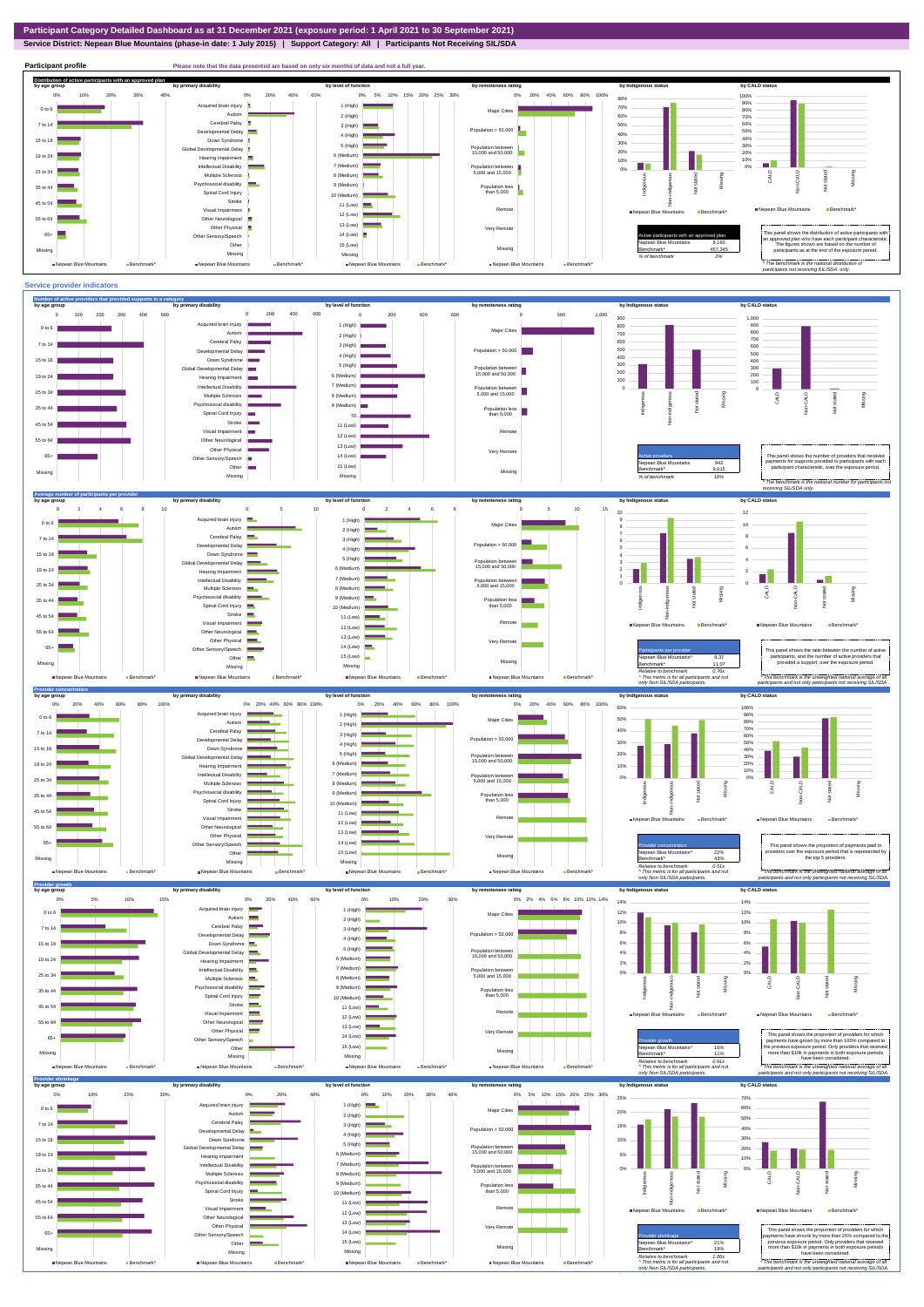**Service District: Nepean Blue Mountains (phase-in date: 1 July 2015) | Support Category: All | Participants Not Receiving SIL/SDA**